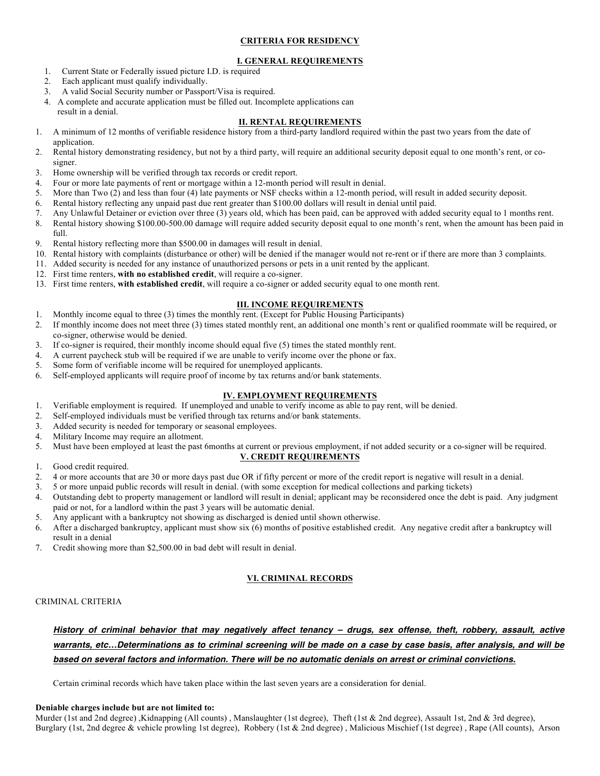### **CRITERIA FOR RESIDENCY**

## **I. GENERAL REQUIREMENTS**

- 1. Current State or Federally issued picture I.D. is required
- 2. Each applicant must qualify individually.
- 3. A valid Social Security number or Passport/Visa is required.
- 4. A complete and accurate application must be filled out. Incomplete applications can result in a denial.

#### **II. RENTAL REQUIREMENTS**

- 1. A minimum of 12 months of verifiable residence history from a third-party landlord required within the past two years from the date of application.
- 2. Rental history demonstrating residency, but not by a third party, will require an additional security deposit equal to one month's rent, or cosigner.
- 3. Home ownership will be verified through tax records or credit report.
- 4. Four or more late payments of rent or mortgage within a 12-month period will result in denial.
- 5. More than Two (2) and less than four (4) late payments or NSF checks within a 12-month period, will result in added security deposit.
- 6. Rental history reflecting any unpaid past due rent greater than \$100.00 dollars will result in denial until paid.
- 7. Any Unlawful Detainer or eviction over three (3) years old, which has been paid, can be approved with added security equal to 1 months rent.
- 8. Rental history showing \$100.00-500.00 damage will require added security deposit equal to one month's rent, when the amount has been paid in full.
- 9. Rental history reflecting more than \$500.00 in damages will result in denial.
- 10. Rental history with complaints (disturbance or other) will be denied if the manager would not re-rent or if there are more than 3 complaints.
- 11. Added security is needed for any instance of unauthorized persons or pets in a unit rented by the applicant.
- 12. First time renters, **with no established credit**, will require a co-signer.
- 13. First time renters, **with established credit**, will require a co-signer or added security equal to one month rent.

#### **III. INCOME REQUIREMENTS**

- 1. Monthly income equal to three (3) times the monthly rent. (Except for Public Housing Participants)
- 2. If monthly income does not meet three (3) times stated monthly rent, an additional one month's rent or qualified roommate will be required, or co-signer, otherwise would be denied.
- 3. If co-signer is required, their monthly income should equal five (5) times the stated monthly rent.
- 4. A current paycheck stub will be required if we are unable to verify income over the phone or fax.
- 5. Some form of verifiable income will be required for unemployed applicants.
- 6. Self-employed applicants will require proof of income by tax returns and/or bank statements.

#### **IV. EMPLOYMENT REQUIREMENTS**

- 1. Verifiable employment is required. If unemployed and unable to verify income as able to pay rent, will be denied.
- 2. Self-employed individuals must be verified through tax returns and/or bank statements.
- 3. Added security is needed for temporary or seasonal employees.
- 4. Military Income may require an allotment.
- 5. Must have been employed at least the past 6months at current or previous employment, if not added security or a co-signer will be required.

#### **V. CREDIT REQUIREMENTS**

- 1. Good credit required.
- 2. 4 or more accounts that are 30 or more days past due OR if fifty percent or more of the credit report is negative will result in a denial.
- 3. 5 or more unpaid public records will result in denial. (with some exception for medical collections and parking tickets)
- 4. Outstanding debt to property management or landlord will result in denial; applicant may be reconsidered once the debt is paid. Any judgment paid or not, for a landlord within the past 3 years will be automatic denial.
- 5. Any applicant with a bankruptcy not showing as discharged is denied until shown otherwise.
- 6. After a discharged bankruptcy, applicant must show six (6) months of positive established credit. Any negative credit after a bankruptcy will result in a denial
- 7. Credit showing more than \$2,500.00 in bad debt will result in denial.

#### **VI. CRIMINAL RECORDS**

#### CRIMINAL CRITERIA

*History of criminal behavior that may negatively affect tenancy – drugs, sex offense, theft, robbery, assault, active warrants, etc…Determinations as to criminal screening will be made on a case by case basis, after analysis, and will be based on several factors and information. There will be no automatic denials on arrest or criminal convictions.*

Certain criminal records which have taken place within the last seven years are a consideration for denial.

#### **Deniable charges include but are not limited to:**

Murder (1st and 2nd degree), Kidnapping (All counts), Manslaughter (1st degree), Theft (1st & 2nd degree), Assault 1st, 2nd & 3rd degree), Burglary (1st, 2nd degree & vehicle prowling 1st degree), Robbery (1st & 2nd degree) , Malicious Mischief (1st degree) , Rape (All counts), Arson